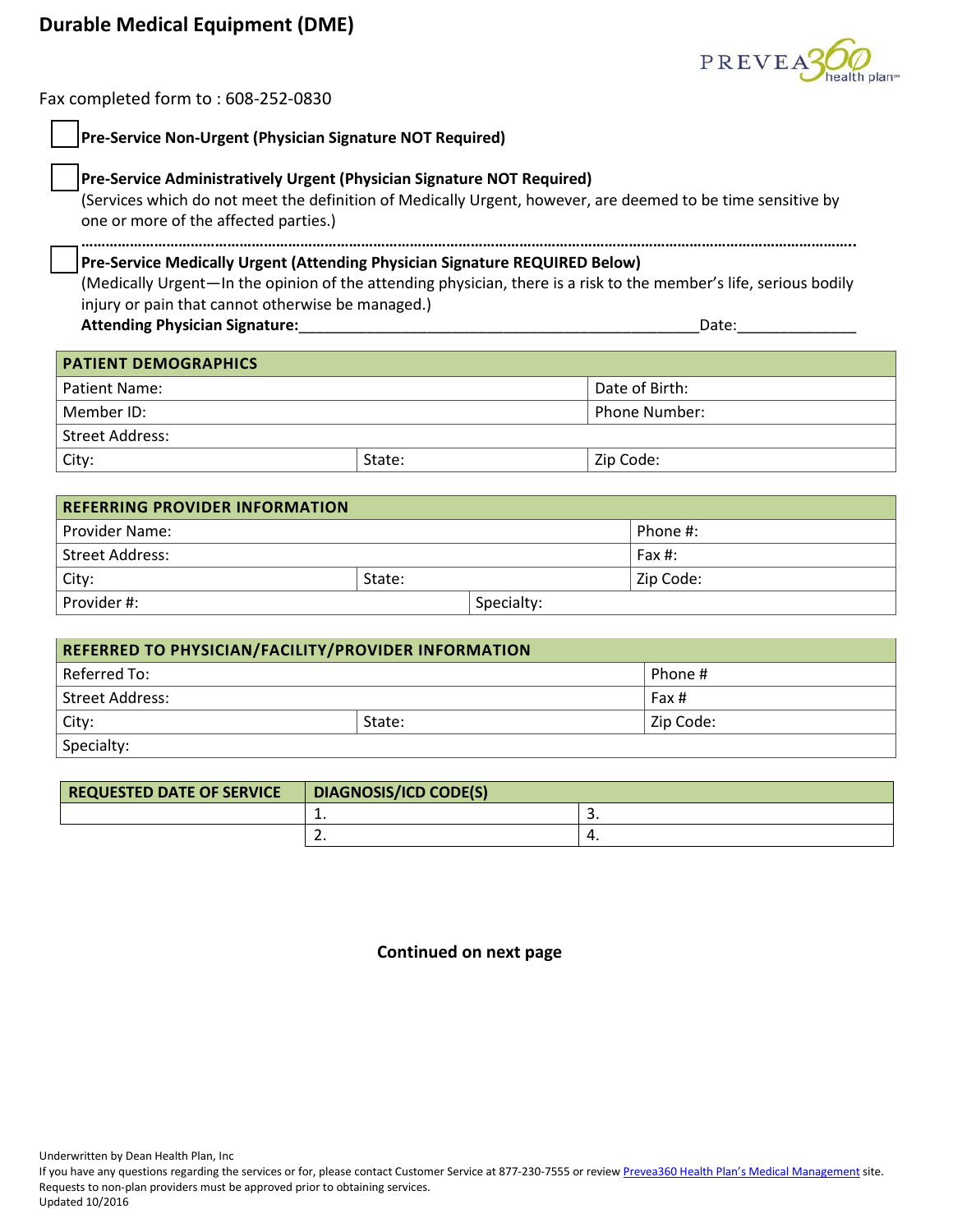## **Durable Medical Equipment (DME)**



Fax completed form to : 608-252-0830

| Pre-Service Non-Urgent (Physician Signature NOT Required)                                                                                                                                                                      |        |                      |  |  |  |
|--------------------------------------------------------------------------------------------------------------------------------------------------------------------------------------------------------------------------------|--------|----------------------|--|--|--|
| Pre-Service Administratively Urgent (Physician Signature NOT Required)<br>(Services which do not meet the definition of Medically Urgent, however, are deemed to be time sensitive by<br>one or more of the affected parties.) |        |                      |  |  |  |
| Pre-Service Medically Urgent (Attending Physician Signature REQUIRED Below)<br>(Medically Urgent—In the opinion of the attending physician, there is a risk to the member's life, serious bodily                               |        |                      |  |  |  |
| injury or pain that cannot otherwise be managed.)<br><b>Attending Physician Signature:</b><br>Date:                                                                                                                            |        |                      |  |  |  |
| <b>PATIENT DEMOGRAPHICS</b>                                                                                                                                                                                                    |        |                      |  |  |  |
| Patient Name:                                                                                                                                                                                                                  |        | Date of Birth:       |  |  |  |
| Member ID:                                                                                                                                                                                                                     |        | <b>Phone Number:</b> |  |  |  |
| <b>Street Address:</b>                                                                                                                                                                                                         |        |                      |  |  |  |
| City:                                                                                                                                                                                                                          | State: | Zip Code:            |  |  |  |
| <b>REFERRING PROVIDER INFORMATION</b>                                                                                                                                                                                          |        |                      |  |  |  |

| Provider Name:  |        |            | Phone #:   |  |
|-----------------|--------|------------|------------|--|
| Street Address: |        |            | Fax $\#$ : |  |
| City:           | State: |            | Zip Code:  |  |
| Provider #:     |        | Specialty: |            |  |

| REFERRED TO PHYSICIAN/FACILITY/PROVIDER INFORMATION |        |           |  |  |
|-----------------------------------------------------|--------|-----------|--|--|
| Referred To:                                        |        | Phone #   |  |  |
| Street Address:                                     |        | Fax #     |  |  |
| City:                                               | State: | Zip Code: |  |  |
| Specialty:                                          |        |           |  |  |

| <b>REQUESTED DATE OF SERVICE</b> | <b>DIAGNOSIS/ICD CODE(S)</b> |          |
|----------------------------------|------------------------------|----------|
|                                  | . .                          | <u>.</u> |
|                                  | . .                          | ч.       |

**Continued on next page**

Underwritten by Dean Health Plan, Inc

If you have any questions regarding the services or for, please contact Customer Service at 877-230-7555 or revie[w Prevea360 Health Plan's Medical Management](http://www.prevea360.com/For-Providers/Medical-Management.aspx) site. Requests to non-plan providers must be approved prior to obtaining services. Updated 10/2016